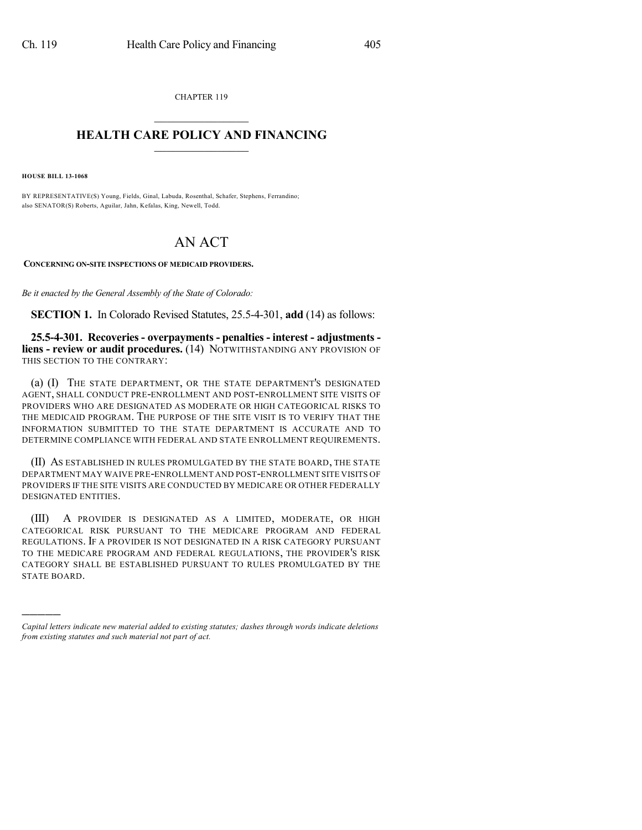CHAPTER 119  $\overline{\phantom{a}}$  . The set of the set of the set of the set of the set of the set of the set of the set of the set of the set of the set of the set of the set of the set of the set of the set of the set of the set of the set o

## **HEALTH CARE POLICY AND FINANCING**  $\_$   $\_$   $\_$   $\_$   $\_$   $\_$   $\_$   $\_$

**HOUSE BILL 13-1068**

)))))

BY REPRESENTATIVE(S) Young, Fields, Ginal, Labuda, Rosenthal, Schafer, Stephens, Ferrandino; also SENATOR(S) Roberts, Aguilar, Jahn, Kefalas, King, Newell, Todd.

## AN ACT

**CONCERNING ON-SITE INSPECTIONS OF MEDICAID PROVIDERS.**

*Be it enacted by the General Assembly of the State of Colorado:*

**SECTION 1.** In Colorado Revised Statutes, 25.5-4-301, **add** (14) as follows:

**25.5-4-301. Recoveries - overpayments - penalties - interest - adjustments liens - review or audit procedures.** (14) NOTWITHSTANDING ANY PROVISION OF THIS SECTION TO THE CONTRARY:

(a) (I) THE STATE DEPARTMENT, OR THE STATE DEPARTMENT'S DESIGNATED AGENT, SHALL CONDUCT PRE-ENROLLMENT AND POST-ENROLLMENT SITE VISITS OF PROVIDERS WHO ARE DESIGNATED AS MODERATE OR HIGH CATEGORICAL RISKS TO THE MEDICAID PROGRAM. THE PURPOSE OF THE SITE VISIT IS TO VERIFY THAT THE INFORMATION SUBMITTED TO THE STATE DEPARTMENT IS ACCURATE AND TO DETERMINE COMPLIANCE WITH FEDERAL AND STATE ENROLLMENT REQUIREMENTS.

(II) AS ESTABLISHED IN RULES PROMULGATED BY THE STATE BOARD, THE STATE DEPARTMENT MAY WAIVE PRE-ENROLLMENT AND POST-ENROLLMENT SITE VISITS OF PROVIDERS IF THE SITE VISITS ARE CONDUCTED BY MEDICARE OR OTHER FEDERALLY DESIGNATED ENTITIES.

(III) A PROVIDER IS DESIGNATED AS A LIMITED, MODERATE, OR HIGH CATEGORICAL RISK PURSUANT TO THE MEDICARE PROGRAM AND FEDERAL REGULATIONS. IF A PROVIDER IS NOT DESIGNATED IN A RISK CATEGORY PURSUANT TO THE MEDICARE PROGRAM AND FEDERAL REGULATIONS, THE PROVIDER'S RISK CATEGORY SHALL BE ESTABLISHED PURSUANT TO RULES PROMULGATED BY THE STATE BOARD.

*Capital letters indicate new material added to existing statutes; dashes through words indicate deletions from existing statutes and such material not part of act.*